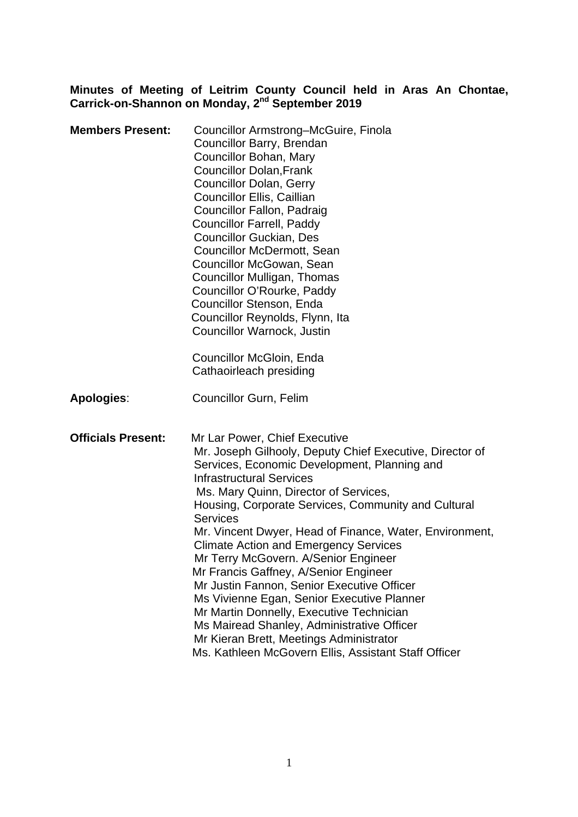#### **Minutes of Meeting of Leitrim County Council held in Aras An Chontae, Carrick-on-Shannon on Monday, 2nd September 2019**

| <b>Members Present:</b>   | Councillor Armstrong-McGuire, Finola<br>Councillor Barry, Brendan<br>Councillor Bohan, Mary<br><b>Councillor Dolan, Frank</b><br><b>Councillor Dolan, Gerry</b><br><b>Councillor Ellis, Caillian</b><br>Councillor Fallon, Padraig<br><b>Councillor Farrell, Paddy</b><br><b>Councillor Guckian, Des</b><br>Councillor McDermott, Sean<br>Councillor McGowan, Sean<br>Councillor Mulligan, Thomas<br>Councillor O'Rourke, Paddy<br>Councillor Stenson, Enda<br>Councillor Reynolds, Flynn, Ita<br><b>Councillor Warnock, Justin</b><br>Councillor McGloin, Enda<br>Cathaoirleach presiding                                                                                                                                                                                           |
|---------------------------|--------------------------------------------------------------------------------------------------------------------------------------------------------------------------------------------------------------------------------------------------------------------------------------------------------------------------------------------------------------------------------------------------------------------------------------------------------------------------------------------------------------------------------------------------------------------------------------------------------------------------------------------------------------------------------------------------------------------------------------------------------------------------------------|
| Apologies:                | <b>Councillor Gurn, Felim</b>                                                                                                                                                                                                                                                                                                                                                                                                                                                                                                                                                                                                                                                                                                                                                        |
| <b>Officials Present:</b> | Mr Lar Power, Chief Executive<br>Mr. Joseph Gilhooly, Deputy Chief Executive, Director of<br>Services, Economic Development, Planning and<br><b>Infrastructural Services</b><br>Ms. Mary Quinn, Director of Services,<br>Housing, Corporate Services, Community and Cultural<br><b>Services</b><br>Mr. Vincent Dwyer, Head of Finance, Water, Environment,<br><b>Climate Action and Emergency Services</b><br>Mr Terry McGovern. A/Senior Engineer<br>Mr Francis Gaffney, A/Senior Engineer<br>Mr Justin Fannon, Senior Executive Officer<br>Ms Vivienne Egan, Senior Executive Planner<br>Mr Martin Donnelly, Executive Technician<br>Ms Mairead Shanley, Administrative Officer<br>Mr Kieran Brett, Meetings Administrator<br>Ms. Kathleen McGovern Ellis, Assistant Staff Officer |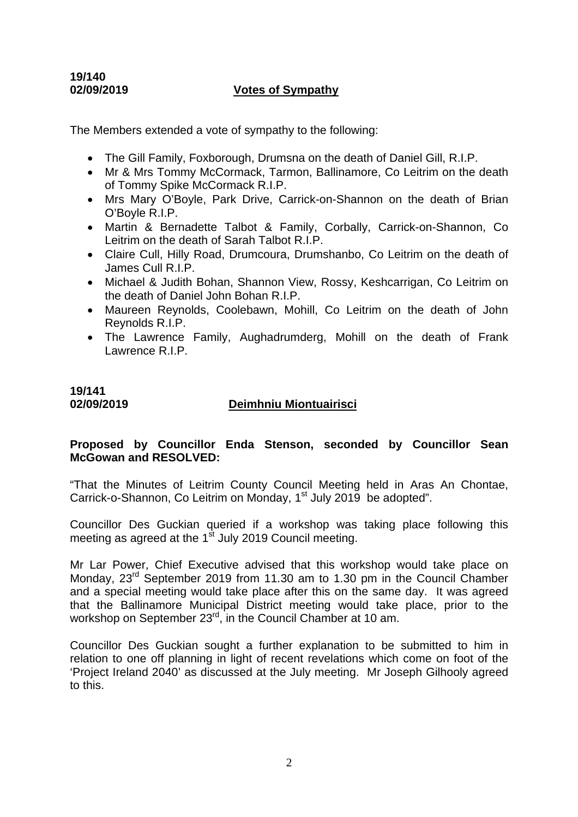# **19/140**

#### **02/09/2019 Votes of Sympathy**

The Members extended a vote of sympathy to the following:

- The Gill Family, Foxborough, Drumsna on the death of Daniel Gill, R.I.P.
- Mr & Mrs Tommy McCormack, Tarmon, Ballinamore, Co Leitrim on the death of Tommy Spike McCormack R.I.P.
- Mrs Mary O'Boyle, Park Drive, Carrick-on-Shannon on the death of Brian O'Boyle R.I.P.
- Martin & Bernadette Talbot & Family, Corbally, Carrick-on-Shannon, Co Leitrim on the death of Sarah Talbot R.I.P.
- Claire Cull, Hilly Road, Drumcoura, Drumshanbo, Co Leitrim on the death of James Cull R.I.P.
- Michael & Judith Bohan, Shannon View, Rossy, Keshcarrigan, Co Leitrim on the death of Daniel John Bohan R.I.P.
- Maureen Reynolds, Coolebawn, Mohill, Co Leitrim on the death of John Reynolds R.I.P.
- The Lawrence Family, Aughadrumderg, Mohill on the death of Frank Lawrence R.I.P.

# **19/141**

## **02/09/2019 Deimhniu Miontuairisci**

## **Proposed by Councillor Enda Stenson, seconded by Councillor Sean McGowan and RESOLVED:**

"That the Minutes of Leitrim County Council Meeting held in Aras An Chontae, Carrick-o-Shannon, Co Leitrim on Monday, 1<sup>st</sup> July 2019 be adopted".

Councillor Des Guckian queried if a workshop was taking place following this meeting as agreed at the  $1<sup>st</sup>$  July 2019 Council meeting.

Mr Lar Power, Chief Executive advised that this workshop would take place on Monday, 23<sup>rd</sup> September 2019 from 11.30 am to 1.30 pm in the Council Chamber and a special meeting would take place after this on the same day. It was agreed that the Ballinamore Municipal District meeting would take place, prior to the workshop on September 23<sup>rd</sup>, in the Council Chamber at 10 am.

Councillor Des Guckian sought a further explanation to be submitted to him in relation to one off planning in light of recent revelations which come on foot of the 'Project Ireland 2040' as discussed at the July meeting. Mr Joseph Gilhooly agreed to this.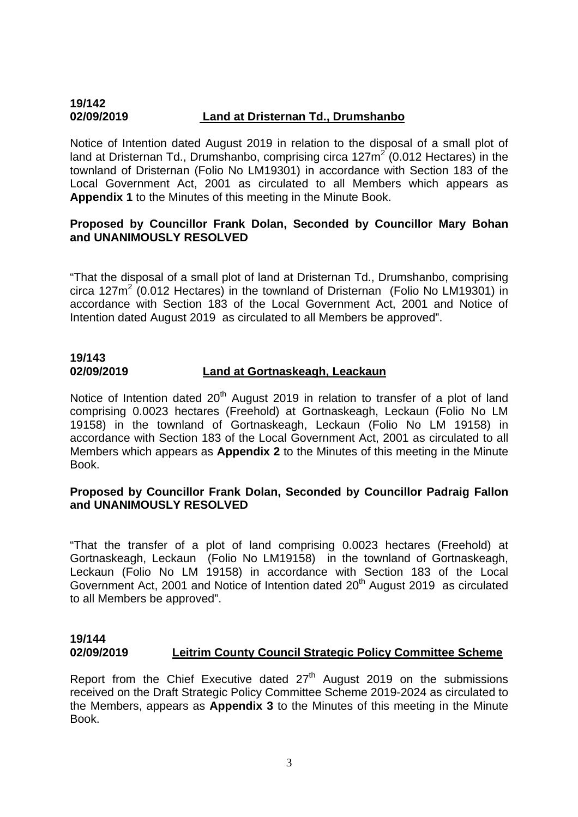#### **19/142 02/09/2019 Land at Dristernan Td., Drumshanbo**

Notice of Intention dated August 2019 in relation to the disposal of a small plot of land at Dristernan Td., Drumshanbo, comprising circa 127m<sup>2</sup> (0.012 Hectares) in the townland of Dristernan (Folio No LM19301) in accordance with Section 183 of the Local Government Act, 2001 as circulated to all Members which appears as **Appendix 1** to the Minutes of this meeting in the Minute Book.

## **Proposed by Councillor Frank Dolan, Seconded by Councillor Mary Bohan and UNANIMOUSLY RESOLVED**

"That the disposal of a small plot of land at Dristernan Td., Drumshanbo, comprising circa 127m<sup>2</sup> (0.012 Hectares) in the townland of Dristernan (Folio No LM19301) in accordance with Section 183 of the Local Government Act, 2001 and Notice of Intention dated August 2019 as circulated to all Members be approved".

#### **19/143 02/09/2019 Land at Gortnaskeagh, Leackaun**

Notice of Intention dated  $20<sup>th</sup>$  August 2019 in relation to transfer of a plot of land comprising 0.0023 hectares (Freehold) at Gortnaskeagh, Leckaun (Folio No LM 19158) in the townland of Gortnaskeagh, Leckaun (Folio No LM 19158) in accordance with Section 183 of the Local Government Act, 2001 as circulated to all Members which appears as **Appendix 2** to the Minutes of this meeting in the Minute Book.

## **Proposed by Councillor Frank Dolan, Seconded by Councillor Padraig Fallon and UNANIMOUSLY RESOLVED**

"That the transfer of a plot of land comprising 0.0023 hectares (Freehold) at Gortnaskeagh, Leckaun (Folio No LM19158) in the townland of Gortnaskeagh, Leckaun (Folio No LM 19158) in accordance with Section 183 of the Local Government Act, 2001 and Notice of Intention dated 20<sup>th</sup> August 2019 as circulated to all Members be approved".

# **19/144**

# **02/09/2019 Leitrim County Council Strategic Policy Committee Scheme**

Report from the Chief Executive dated  $27<sup>th</sup>$  August 2019 on the submissions received on the Draft Strategic Policy Committee Scheme 2019-2024 as circulated to the Members, appears as **Appendix 3** to the Minutes of this meeting in the Minute Book.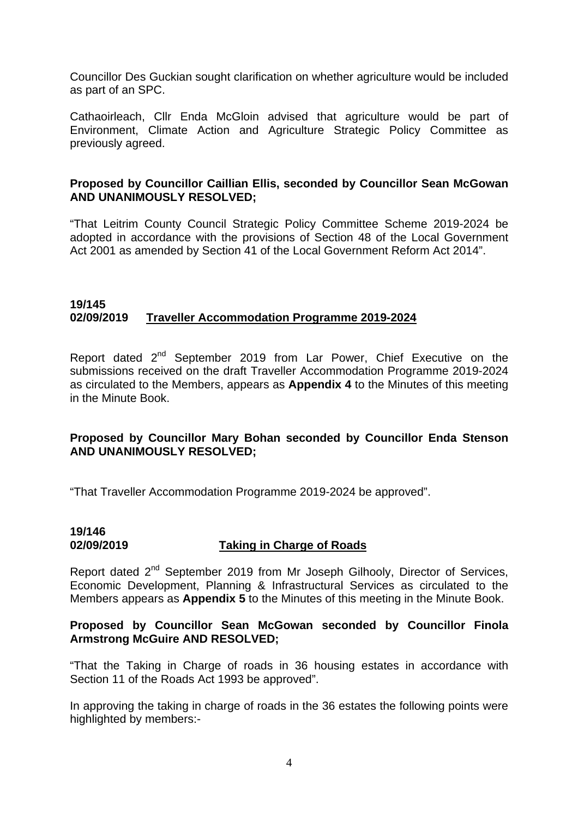Councillor Des Guckian sought clarification on whether agriculture would be included as part of an SPC.

Cathaoirleach, Cllr Enda McGloin advised that agriculture would be part of Environment, Climate Action and Agriculture Strategic Policy Committee as previously agreed.

#### **Proposed by Councillor Caillian Ellis, seconded by Councillor Sean McGowan AND UNANIMOUSLY RESOLVED;**

"That Leitrim County Council Strategic Policy Committee Scheme 2019-2024 be adopted in accordance with the provisions of Section 48 of the Local Government Act 2001 as amended by Section 41 of the Local Government Reform Act 2014".

#### **19/145 02/09/2019 Traveller Accommodation Programme 2019-2024**

Report dated 2<sup>nd</sup> September 2019 from Lar Power, Chief Executive on the submissions received on the draft Traveller Accommodation Programme 2019-2024 as circulated to the Members, appears as **Appendix 4** to the Minutes of this meeting in the Minute Book.

## **Proposed by Councillor Mary Bohan seconded by Councillor Enda Stenson AND UNANIMOUSLY RESOLVED;**

"That Traveller Accommodation Programme 2019-2024 be approved".

# **19/146 02/09/2019 Taking in Charge of Roads**

Report dated 2<sup>nd</sup> September 2019 from Mr Joseph Gilhooly, Director of Services, Economic Development, Planning & Infrastructural Services as circulated to the Members appears as **Appendix 5** to the Minutes of this meeting in the Minute Book.

#### **Proposed by Councillor Sean McGowan seconded by Councillor Finola Armstrong McGuire AND RESOLVED;**

"That the Taking in Charge of roads in 36 housing estates in accordance with Section 11 of the Roads Act 1993 be approved".

In approving the taking in charge of roads in the 36 estates the following points were highlighted by members:-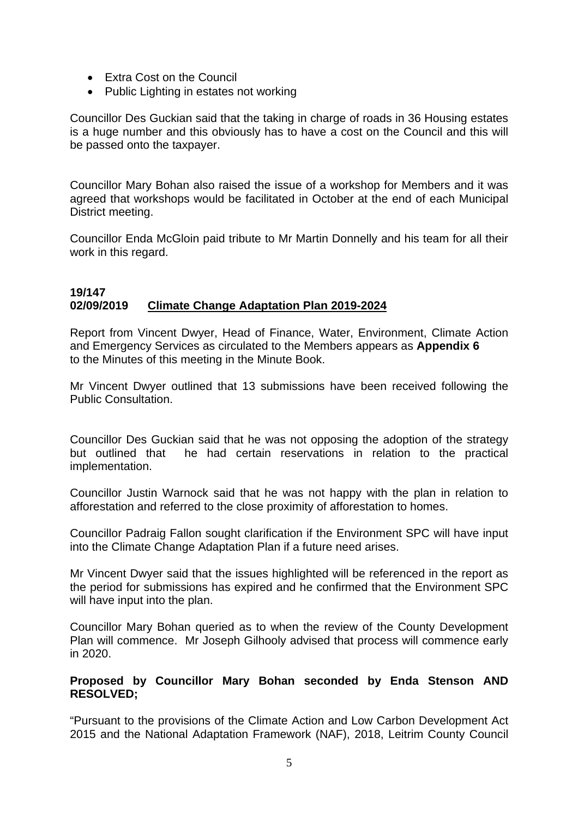- Extra Cost on the Council
- Public Lighting in estates not working

Councillor Des Guckian said that the taking in charge of roads in 36 Housing estates is a huge number and this obviously has to have a cost on the Council and this will be passed onto the taxpayer.

Councillor Mary Bohan also raised the issue of a workshop for Members and it was agreed that workshops would be facilitated in October at the end of each Municipal District meeting.

Councillor Enda McGloin paid tribute to Mr Martin Donnelly and his team for all their work in this regard.

#### **19/147 02/09/2019 Climate Change Adaptation Plan 2019-2024**

Report from Vincent Dwyer, Head of Finance, Water, Environment, Climate Action and Emergency Services as circulated to the Members appears as **Appendix 6**  to the Minutes of this meeting in the Minute Book.

Mr Vincent Dwyer outlined that 13 submissions have been received following the Public Consultation.

Councillor Des Guckian said that he was not opposing the adoption of the strategy but outlined that he had certain reservations in relation to the practical implementation.

Councillor Justin Warnock said that he was not happy with the plan in relation to afforestation and referred to the close proximity of afforestation to homes.

Councillor Padraig Fallon sought clarification if the Environment SPC will have input into the Climate Change Adaptation Plan if a future need arises.

Mr Vincent Dwyer said that the issues highlighted will be referenced in the report as the period for submissions has expired and he confirmed that the Environment SPC will have input into the plan.

Councillor Mary Bohan queried as to when the review of the County Development Plan will commence. Mr Joseph Gilhooly advised that process will commence early in 2020.

## **Proposed by Councillor Mary Bohan seconded by Enda Stenson AND RESOLVED;**

"Pursuant to the provisions of the Climate Action and Low Carbon Development Act 2015 and the National Adaptation Framework (NAF), 2018, Leitrim County Council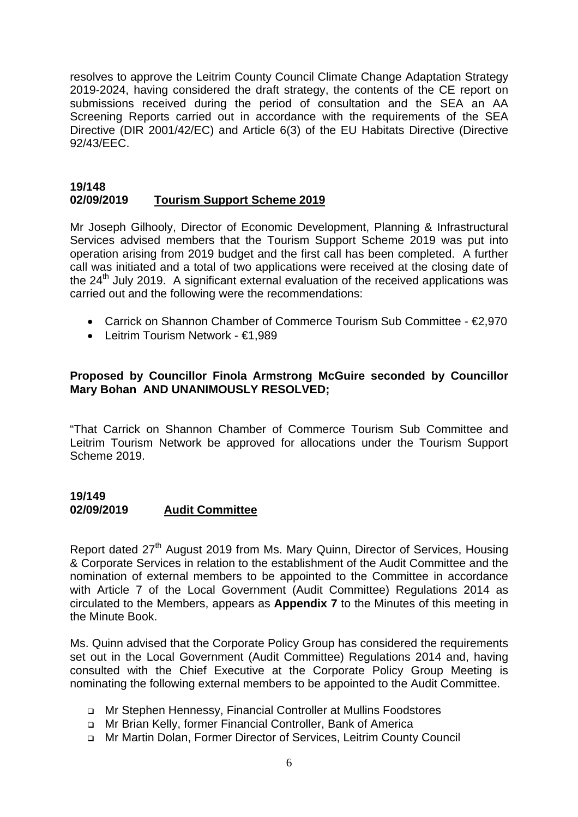resolves to approve the Leitrim County Council Climate Change Adaptation Strategy 2019-2024, having considered the draft strategy, the contents of the CE report on submissions received during the period of consultation and the SEA an AA Screening Reports carried out in accordance with the requirements of the SEA Directive (DIR 2001/42/EC) and Article 6(3) of the EU Habitats Directive (Directive 92/43/EEC.

#### **19/148 02/09/2019 Tourism Support Scheme 2019**

Mr Joseph Gilhooly, Director of Economic Development, Planning & Infrastructural Services advised members that the Tourism Support Scheme 2019 was put into operation arising from 2019 budget and the first call has been completed. A further call was initiated and a total of two applications were received at the closing date of the  $24<sup>th</sup>$  July 2019. A significant external evaluation of the received applications was carried out and the following were the recommendations:

- Carrick on Shannon Chamber of Commerce Tourism Sub Committee €2,970
- Leitrim Tourism Network €1,989

#### **Proposed by Councillor Finola Armstrong McGuire seconded by Councillor Mary Bohan AND UNANIMOUSLY RESOLVED;**

"That Carrick on Shannon Chamber of Commerce Tourism Sub Committee and Leitrim Tourism Network be approved for allocations under the Tourism Support Scheme 2019.

#### **19/149 02/09/2019 Audit Committee**

Report dated 27<sup>th</sup> August 2019 from Ms. Mary Quinn, Director of Services, Housing & Corporate Services in relation to the establishment of the Audit Committee and the nomination of external members to be appointed to the Committee in accordance with Article 7 of the Local Government (Audit Committee) Regulations 2014 as circulated to the Members, appears as **Appendix 7** to the Minutes of this meeting in the Minute Book.

Ms. Quinn advised that the Corporate Policy Group has considered the requirements set out in the Local Government (Audit Committee) Regulations 2014 and, having consulted with the Chief Executive at the Corporate Policy Group Meeting is nominating the following external members to be appointed to the Audit Committee.

- Mr Stephen Hennessy, Financial Controller at Mullins Foodstores
- Mr Brian Kelly, former Financial Controller, Bank of America
- Mr Martin Dolan, Former Director of Services, Leitrim County Council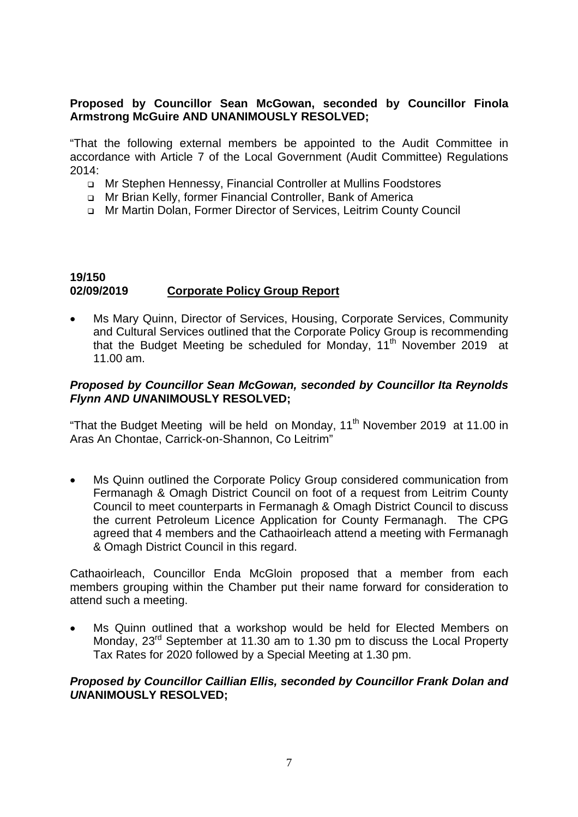#### **Proposed by Councillor Sean McGowan, seconded by Councillor Finola Armstrong McGuire AND UNANIMOUSLY RESOLVED;**

"That the following external members be appointed to the Audit Committee in accordance with Article 7 of the Local Government (Audit Committee) Regulations 2014:

- Mr Stephen Hennessy, Financial Controller at Mullins Foodstores
- Mr Brian Kelly, former Financial Controller, Bank of America
- Mr Martin Dolan, Former Director of Services, Leitrim County Council

## **19/150 02/09/2019 Corporate Policy Group Report**

• Ms Mary Quinn, Director of Services, Housing, Corporate Services, Community and Cultural Services outlined that the Corporate Policy Group is recommending that the Budget Meeting be scheduled for Monday, 11<sup>th</sup> November 2019 at 11.00 am.

#### *Proposed by Councillor Sean McGowan, seconded by Councillor Ita Reynolds Flynn AND UN***ANIMOUSLY RESOLVED;**

"That the Budget Meeting will be held on Monday,  $11<sup>th</sup>$  November 2019 at 11.00 in Aras An Chontae, Carrick-on-Shannon, Co Leitrim"

• Ms Quinn outlined the Corporate Policy Group considered communication from Fermanagh & Omagh District Council on foot of a request from Leitrim County Council to meet counterparts in Fermanagh & Omagh District Council to discuss the current Petroleum Licence Application for County Fermanagh. The CPG agreed that 4 members and the Cathaoirleach attend a meeting with Fermanagh & Omagh District Council in this regard.

Cathaoirleach, Councillor Enda McGloin proposed that a member from each members grouping within the Chamber put their name forward for consideration to attend such a meeting.

Ms Quinn outlined that a workshop would be held for Elected Members on Monday,  $23^{rd}$  September at 11.30 am to 1.30 pm to discuss the Local Property Tax Rates for 2020 followed by a Special Meeting at 1.30 pm.

#### *Proposed by Councillor Caillian Ellis, seconded by Councillor Frank Dolan and UN***ANIMOUSLY RESOLVED;**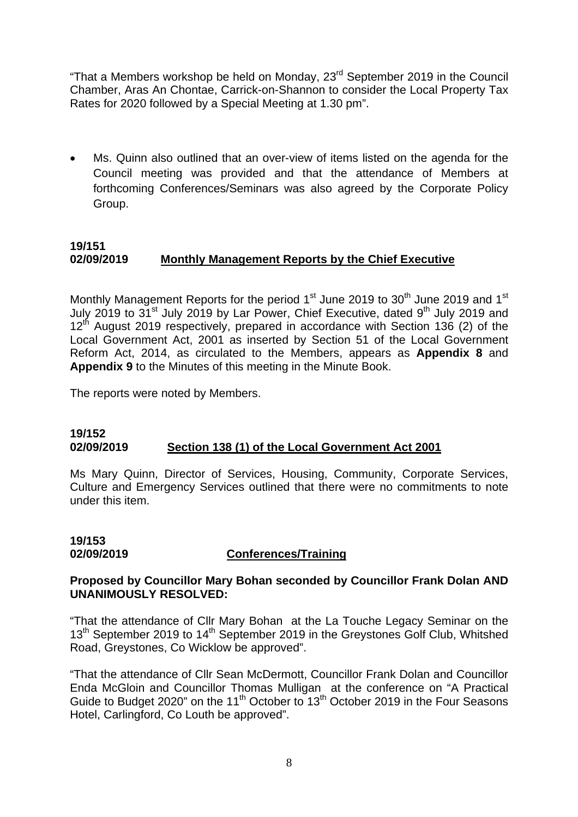"That a Members workshop be held on Monday, 23rd September 2019 in the Council Chamber, Aras An Chontae, Carrick-on-Shannon to consider the Local Property Tax Rates for 2020 followed by a Special Meeting at 1.30 pm".

Ms. Quinn also outlined that an over-view of items listed on the agenda for the Council meeting was provided and that the attendance of Members at forthcoming Conferences/Seminars was also agreed by the Corporate Policy Group.

# **19/151 02/09/2019 Monthly Management Reports by the Chief Executive**

Monthly Management Reports for the period  $1<sup>st</sup>$  June 2019 to 30<sup>th</sup> June 2019 and 1<sup>st</sup> July 2019 to 31<sup>st</sup> July 2019 by Lar Power, Chief Executive, dated 9<sup>th</sup> July 2019 and  $12<sup>th</sup>$  August 2019 respectively, prepared in accordance with Section 136 (2) of the Local Government Act, 2001 as inserted by Section 51 of the Local Government Reform Act, 2014, as circulated to the Members, appears as **Appendix 8** and **Appendix 9** to the Minutes of this meeting in the Minute Book.

The reports were noted by Members.

#### **19/152 02/09/2019 Section 138 (1) of the Local Government Act 2001**

Ms Mary Quinn, Director of Services, Housing, Community, Corporate Services, Culture and Emergency Services outlined that there were no commitments to note under this item.

# **19/153 02/09/2019 Conferences/Training**

#### **Proposed by Councillor Mary Bohan seconded by Councillor Frank Dolan AND UNANIMOUSLY RESOLVED:**

"That the attendance of Cllr Mary Bohan at the La Touche Legacy Seminar on the 13<sup>th</sup> September 2019 to 14<sup>th</sup> September 2019 in the Greystones Golf Club, Whitshed Road, Greystones, Co Wicklow be approved".

"That the attendance of Cllr Sean McDermott, Councillor Frank Dolan and Councillor Enda McGloin and Councillor Thomas Mulligan at the conference on "A Practical Guide to Budget 2020" on the 11<sup>th</sup> October to 13<sup>th</sup> October 2019 in the Four Seasons Hotel, Carlingford, Co Louth be approved".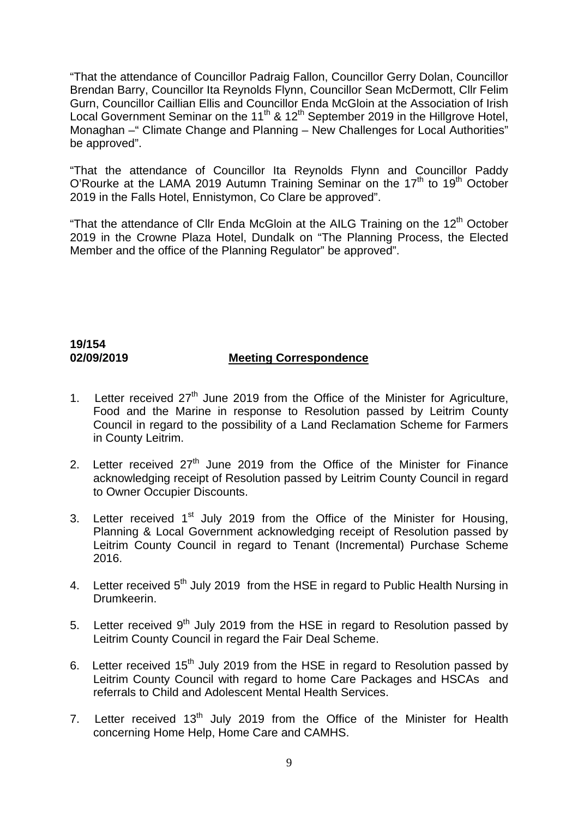"That the attendance of Councillor Padraig Fallon, Councillor Gerry Dolan, Councillor Brendan Barry, Councillor Ita Reynolds Flynn, Councillor Sean McDermott, Cllr Felim Gurn, Councillor Caillian Ellis and Councillor Enda McGloin at the Association of Irish Local Government Seminar on the 11<sup>th</sup> & 12<sup>th</sup> September 2019 in the Hillgrove Hotel, Monaghan –" Climate Change and Planning – New Challenges for Local Authorities" be approved".

"That the attendance of Councillor Ita Reynolds Flynn and Councillor Paddy O'Rourke at the LAMA 2019 Autumn Training Seminar on the  $17<sup>th</sup>$  to 19<sup>th</sup> October 2019 in the Falls Hotel, Ennistymon, Co Clare be approved".

"That the attendance of Cllr Enda McGloin at the AILG Training on the  $12<sup>th</sup>$  October 2019 in the Crowne Plaza Hotel, Dundalk on "The Planning Process, the Elected Member and the office of the Planning Regulator" be approved".

# **19/154**

## **02/09/2019 Meeting Correspondence**

- 1. Letter received  $27<sup>th</sup>$  June 2019 from the Office of the Minister for Agriculture, Food and the Marine in response to Resolution passed by Leitrim County Council in regard to the possibility of a Land Reclamation Scheme for Farmers in County Leitrim.
- 2. Letter received  $27<sup>th</sup>$  June 2019 from the Office of the Minister for Finance acknowledging receipt of Resolution passed by Leitrim County Council in regard to Owner Occupier Discounts.
- 3. Letter received 1<sup>st</sup> July 2019 from the Office of the Minister for Housing, Planning & Local Government acknowledging receipt of Resolution passed by Leitrim County Council in regard to Tenant (Incremental) Purchase Scheme 2016.
- 4. Letter received 5<sup>th</sup> July 2019 from the HSE in regard to Public Health Nursing in Drumkeerin.
- 5. Letter received 9<sup>th</sup> July 2019 from the HSE in regard to Resolution passed by Leitrim County Council in regard the Fair Deal Scheme.
- 6. Letter received 15<sup>th</sup> July 2019 from the HSE in regard to Resolution passed by Leitrim County Council with regard to home Care Packages and HSCAs and referrals to Child and Adolescent Mental Health Services.
- 7. Letter received  $13<sup>th</sup>$  July 2019 from the Office of the Minister for Health concerning Home Help, Home Care and CAMHS.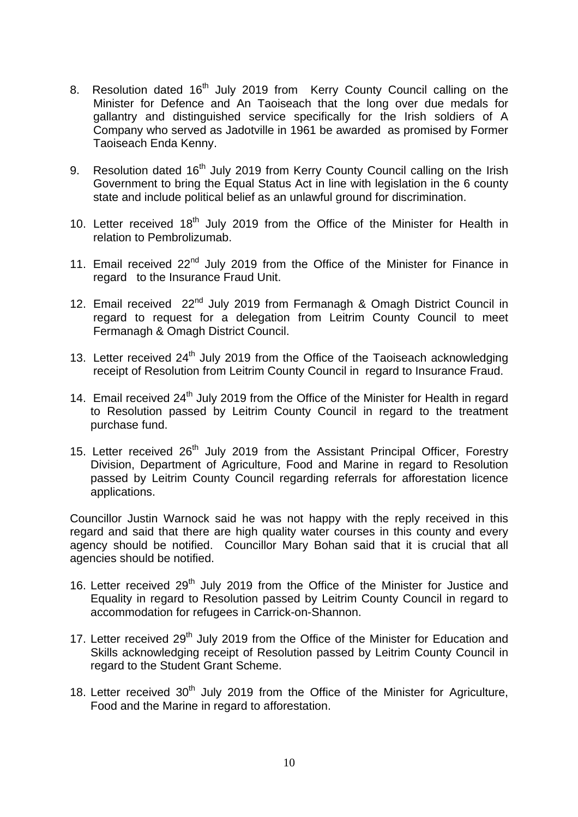- 8. Resolution dated 16<sup>th</sup> July 2019 from Kerry County Council calling on the Minister for Defence and An Taoiseach that the long over due medals for gallantry and distinguished service specifically for the Irish soldiers of A Company who served as Jadotville in 1961 be awarded as promised by Former Taoiseach Enda Kenny.
- 9. Resolution dated 16<sup>th</sup> July 2019 from Kerry County Council calling on the Irish Government to bring the Equal Status Act in line with legislation in the 6 county state and include political belief as an unlawful ground for discrimination.
- 10. Letter received  $18<sup>th</sup>$  July 2019 from the Office of the Minister for Health in relation to Pembrolizumab.
- 11. Email received 22<sup>nd</sup> July 2019 from the Office of the Minister for Finance in regard to the Insurance Fraud Unit.
- 12. Email received 22<sup>nd</sup> July 2019 from Fermanagh & Omagh District Council in regard to request for a delegation from Leitrim County Council to meet Fermanagh & Omagh District Council.
- 13. Letter received 24<sup>th</sup> July 2019 from the Office of the Taoiseach acknowledging receipt of Resolution from Leitrim County Council in regard to Insurance Fraud.
- 14. Email received  $24<sup>th</sup>$  July 2019 from the Office of the Minister for Health in regard to Resolution passed by Leitrim County Council in regard to the treatment purchase fund.
- 15. Letter received  $26<sup>th</sup>$  July 2019 from the Assistant Principal Officer, Forestry Division, Department of Agriculture, Food and Marine in regard to Resolution passed by Leitrim County Council regarding referrals for afforestation licence applications.

Councillor Justin Warnock said he was not happy with the reply received in this regard and said that there are high quality water courses in this county and every agency should be notified. Councillor Mary Bohan said that it is crucial that all agencies should be notified.

- 16. Letter received 29<sup>th</sup> July 2019 from the Office of the Minister for Justice and Equality in regard to Resolution passed by Leitrim County Council in regard to accommodation for refugees in Carrick-on-Shannon.
- 17. Letter received  $29<sup>th</sup>$  July 2019 from the Office of the Minister for Education and Skills acknowledging receipt of Resolution passed by Leitrim County Council in regard to the Student Grant Scheme.
- 18. Letter received  $30<sup>th</sup>$  July 2019 from the Office of the Minister for Agriculture, Food and the Marine in regard to afforestation.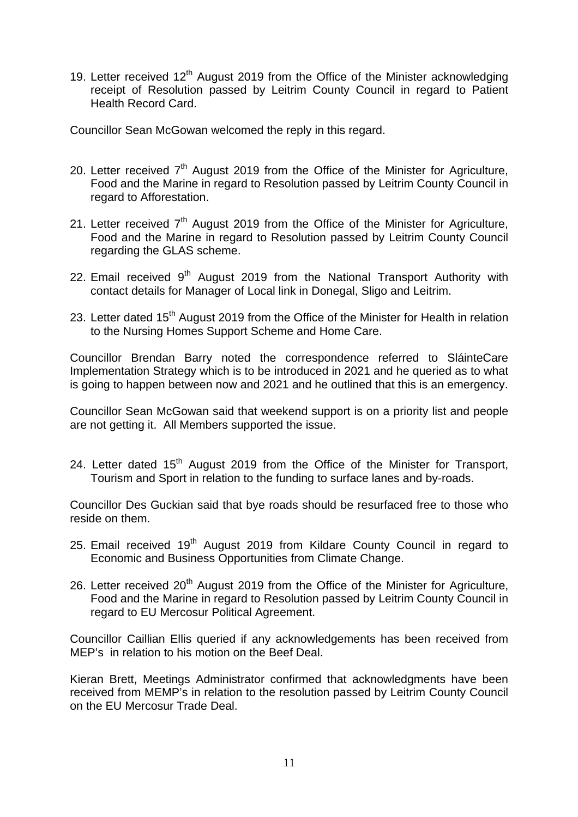19. Letter received  $12<sup>th</sup>$  August 2019 from the Office of the Minister acknowledging receipt of Resolution passed by Leitrim County Council in regard to Patient Health Record Card.

Councillor Sean McGowan welcomed the reply in this regard.

- 20. Letter received  $7<sup>th</sup>$  August 2019 from the Office of the Minister for Agriculture, Food and the Marine in regard to Resolution passed by Leitrim County Council in regard to Afforestation.
- 21. Letter received  $7<sup>th</sup>$  August 2019 from the Office of the Minister for Agriculture, Food and the Marine in regard to Resolution passed by Leitrim County Council regarding the GLAS scheme.
- 22. Email received  $9<sup>th</sup>$  August 2019 from the National Transport Authority with contact details for Manager of Local link in Donegal, Sligo and Leitrim.
- 23. Letter dated 15<sup>th</sup> August 2019 from the Office of the Minister for Health in relation to the Nursing Homes Support Scheme and Home Care.

Councillor Brendan Barry noted the correspondence referred to SláinteCare Implementation Strategy which is to be introduced in 2021 and he queried as to what is going to happen between now and 2021 and he outlined that this is an emergency.

Councillor Sean McGowan said that weekend support is on a priority list and people are not getting it. All Members supported the issue.

24. Letter dated 15<sup>th</sup> August 2019 from the Office of the Minister for Transport, Tourism and Sport in relation to the funding to surface lanes and by-roads.

Councillor Des Guckian said that bye roads should be resurfaced free to those who reside on them.

- 25. Email received  $19<sup>th</sup>$  August 2019 from Kildare County Council in regard to Economic and Business Opportunities from Climate Change.
- 26. Letter received  $20<sup>th</sup>$  August 2019 from the Office of the Minister for Agriculture, Food and the Marine in regard to Resolution passed by Leitrim County Council in regard to EU Mercosur Political Agreement.

Councillor Caillian Ellis queried if any acknowledgements has been received from MEP's in relation to his motion on the Beef Deal.

Kieran Brett, Meetings Administrator confirmed that acknowledgments have been received from MEMP's in relation to the resolution passed by Leitrim County Council on the EU Mercosur Trade Deal.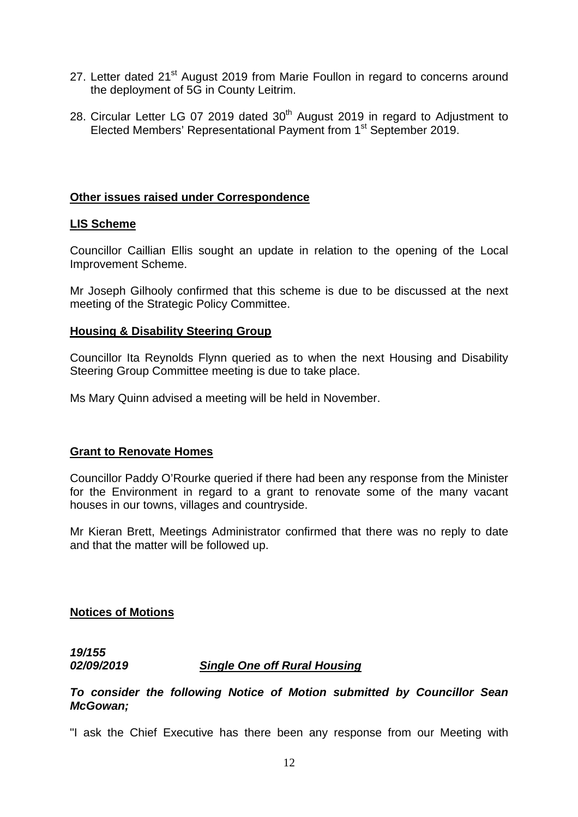- 27. Letter dated 21<sup>st</sup> August 2019 from Marie Foullon in regard to concerns around the deployment of 5G in County Leitrim.
- 28. Circular Letter LG 07 2019 dated  $30<sup>th</sup>$  August 2019 in regard to Adjustment to Elected Members' Representational Payment from 1<sup>st</sup> September 2019.

#### **Other issues raised under Correspondence**

#### **LIS Scheme**

Councillor Caillian Ellis sought an update in relation to the opening of the Local Improvement Scheme.

Mr Joseph Gilhooly confirmed that this scheme is due to be discussed at the next meeting of the Strategic Policy Committee.

#### **Housing & Disability Steering Group**

Councillor Ita Reynolds Flynn queried as to when the next Housing and Disability Steering Group Committee meeting is due to take place.

Ms Mary Quinn advised a meeting will be held in November.

#### **Grant to Renovate Homes**

Councillor Paddy O'Rourke queried if there had been any response from the Minister for the Environment in regard to a grant to renovate some of the many vacant houses in our towns, villages and countryside.

Mr Kieran Brett, Meetings Administrator confirmed that there was no reply to date and that the matter will be followed up.

**Notices of Motions**

*19/155* 

#### *02/09/2019 Single One off Rural Housing*

#### *To consider the following Notice of Motion submitted by Councillor Sean McGowan;*

"I ask the Chief Executive has there been any response from our Meeting with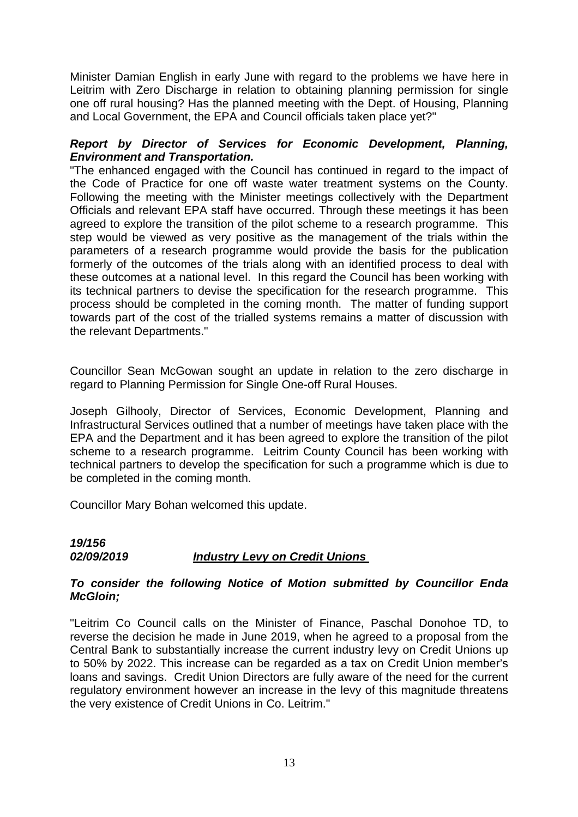Minister Damian English in early June with regard to the problems we have here in Leitrim with Zero Discharge in relation to obtaining planning permission for single one off rural housing? Has the planned meeting with the Dept. of Housing, Planning and Local Government, the EPA and Council officials taken place yet?"

#### *Report by Director of Services for Economic Development, Planning, Environment and Transportation.*

"The enhanced engaged with the Council has continued in regard to the impact of the Code of Practice for one off waste water treatment systems on the County. Following the meeting with the Minister meetings collectively with the Department Officials and relevant EPA staff have occurred. Through these meetings it has been agreed to explore the transition of the pilot scheme to a research programme. This step would be viewed as very positive as the management of the trials within the parameters of a research programme would provide the basis for the publication formerly of the outcomes of the trials along with an identified process to deal with these outcomes at a national level. In this regard the Council has been working with its technical partners to devise the specification for the research programme. This process should be completed in the coming month. The matter of funding support towards part of the cost of the trialled systems remains a matter of discussion with the relevant Departments."

Councillor Sean McGowan sought an update in relation to the zero discharge in regard to Planning Permission for Single One-off Rural Houses.

Joseph Gilhooly, Director of Services, Economic Development, Planning and Infrastructural Services outlined that a number of meetings have taken place with the EPA and the Department and it has been agreed to explore the transition of the pilot scheme to a research programme. Leitrim County Council has been working with technical partners to develop the specification for such a programme which is due to be completed in the coming month.

Councillor Mary Bohan welcomed this update.

#### *19/156 02/09/2019 Industry Levy on Credit Unions*

#### *To consider the following Notice of Motion submitted by Councillor Enda McGloin;*

"Leitrim Co Council calls on the Minister of Finance, Paschal Donohoe TD, to reverse the decision he made in June 2019, when he agreed to a proposal from the Central Bank to substantially increase the current industry levy on Credit Unions up to 50% by 2022. This increase can be regarded as a tax on Credit Union member's loans and savings. Credit Union Directors are fully aware of the need for the current regulatory environment however an increase in the levy of this magnitude threatens the very existence of Credit Unions in Co. Leitrim."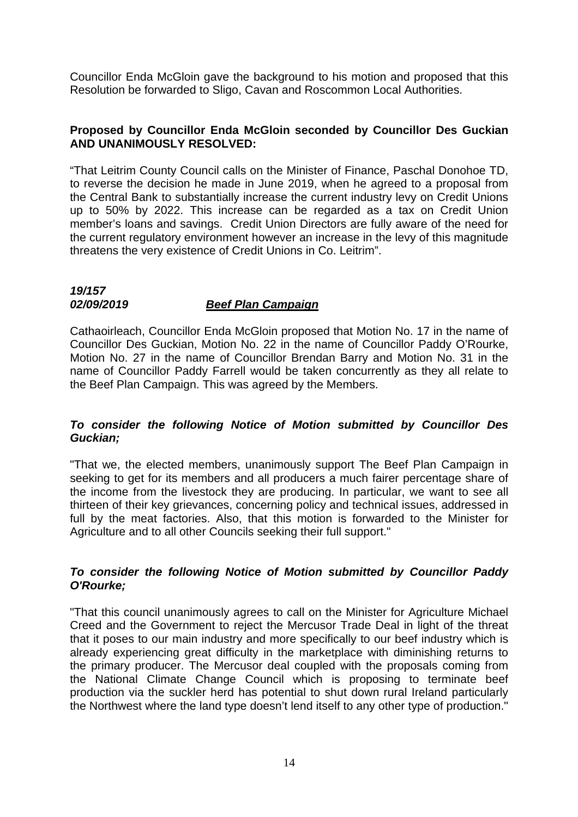Councillor Enda McGloin gave the background to his motion and proposed that this Resolution be forwarded to Sligo, Cavan and Roscommon Local Authorities.

#### **Proposed by Councillor Enda McGloin seconded by Councillor Des Guckian AND UNANIMOUSLY RESOLVED:**

"That Leitrim County Council calls on the Minister of Finance, Paschal Donohoe TD, to reverse the decision he made in June 2019, when he agreed to a proposal from the Central Bank to substantially increase the current industry levy on Credit Unions up to 50% by 2022. This increase can be regarded as a tax on Credit Union member's loans and savings. Credit Union Directors are fully aware of the need for the current regulatory environment however an increase in the levy of this magnitude threatens the very existence of Credit Unions in Co. Leitrim".

# *19/157 02/09/2019 Beef Plan Campaign*

Cathaoirleach, Councillor Enda McGloin proposed that Motion No. 17 in the name of Councillor Des Guckian, Motion No. 22 in the name of Councillor Paddy O'Rourke, Motion No. 27 in the name of Councillor Brendan Barry and Motion No. 31 in the name of Councillor Paddy Farrell would be taken concurrently as they all relate to the Beef Plan Campaign. This was agreed by the Members.

## *To consider the following Notice of Motion submitted by Councillor Des Guckian;*

"That we, the elected members, unanimously support The Beef Plan Campaign in seeking to get for its members and all producers a much fairer percentage share of the income from the livestock they are producing. In particular, we want to see all thirteen of their key grievances, concerning policy and technical issues, addressed in full by the meat factories. Also, that this motion is forwarded to the Minister for Agriculture and to all other Councils seeking their full support."

## *To consider the following Notice of Motion submitted by Councillor Paddy O'Rourke;*

"That this council unanimously agrees to call on the Minister for Agriculture Michael Creed and the Government to reject the Mercusor Trade Deal in light of the threat that it poses to our main industry and more specifically to our beef industry which is already experiencing great difficulty in the marketplace with diminishing returns to the primary producer. The Mercusor deal coupled with the proposals coming from the National Climate Change Council which is proposing to terminate beef production via the suckler herd has potential to shut down rural Ireland particularly the Northwest where the land type doesn't lend itself to any other type of production."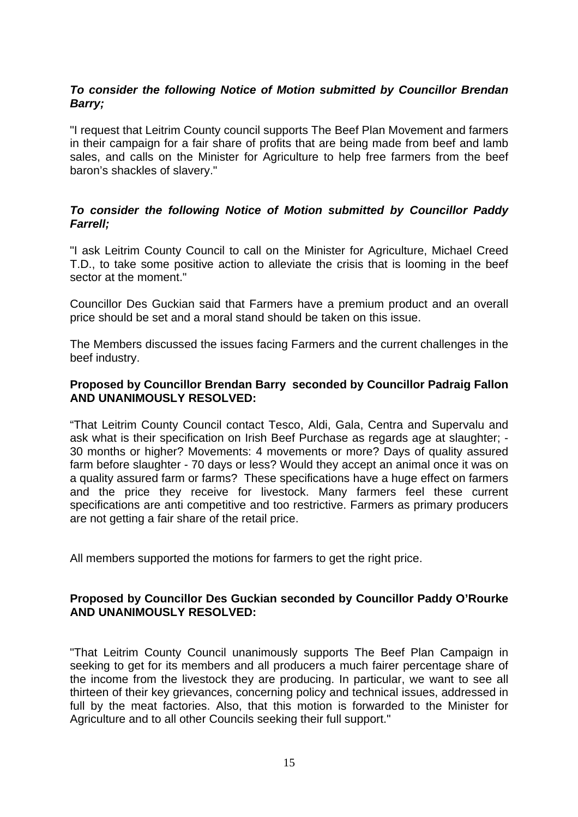# *To consider the following Notice of Motion submitted by Councillor Brendan Barry;*

"I request that Leitrim County council supports The Beef Plan Movement and farmers in their campaign for a fair share of profits that are being made from beef and lamb sales, and calls on the Minister for Agriculture to help free farmers from the beef baron's shackles of slavery."

## *To consider the following Notice of Motion submitted by Councillor Paddy Farrell;*

"I ask Leitrim County Council to call on the Minister for Agriculture, Michael Creed T.D., to take some positive action to alleviate the crisis that is looming in the beef sector at the moment."

Councillor Des Guckian said that Farmers have a premium product and an overall price should be set and a moral stand should be taken on this issue.

The Members discussed the issues facing Farmers and the current challenges in the beef industry.

#### **Proposed by Councillor Brendan Barry seconded by Councillor Padraig Fallon AND UNANIMOUSLY RESOLVED:**

"That Leitrim County Council contact Tesco, Aldi, Gala, Centra and Supervalu and ask what is their specification on Irish Beef Purchase as regards age at slaughter; - 30 months or higher? Movements: 4 movements or more? Days of quality assured farm before slaughter - 70 days or less? Would they accept an animal once it was on a quality assured farm or farms? These specifications have a huge effect on farmers and the price they receive for livestock. Many farmers feel these current specifications are anti competitive and too restrictive. Farmers as primary producers are not getting a fair share of the retail price.

All members supported the motions for farmers to get the right price.

#### **Proposed by Councillor Des Guckian seconded by Councillor Paddy O'Rourke AND UNANIMOUSLY RESOLVED:**

"That Leitrim County Council unanimously supports The Beef Plan Campaign in seeking to get for its members and all producers a much fairer percentage share of the income from the livestock they are producing. In particular, we want to see all thirteen of their key grievances, concerning policy and technical issues, addressed in full by the meat factories. Also, that this motion is forwarded to the Minister for Agriculture and to all other Councils seeking their full support."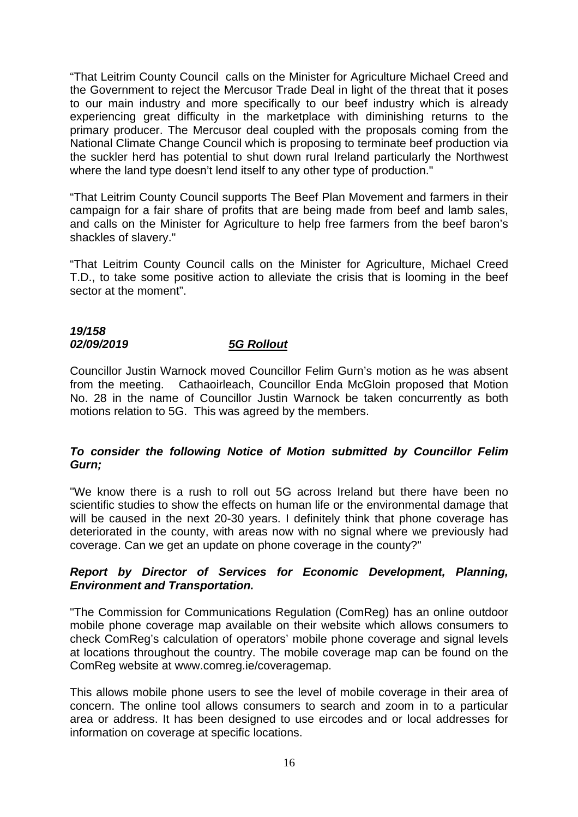"That Leitrim County Council calls on the Minister for Agriculture Michael Creed and the Government to reject the Mercusor Trade Deal in light of the threat that it poses to our main industry and more specifically to our beef industry which is already experiencing great difficulty in the marketplace with diminishing returns to the primary producer. The Mercusor deal coupled with the proposals coming from the National Climate Change Council which is proposing to terminate beef production via the suckler herd has potential to shut down rural Ireland particularly the Northwest where the land type doesn't lend itself to any other type of production."

"That Leitrim County Council supports The Beef Plan Movement and farmers in their campaign for a fair share of profits that are being made from beef and lamb sales, and calls on the Minister for Agriculture to help free farmers from the beef baron's shackles of slavery."

"That Leitrim County Council calls on the Minister for Agriculture, Michael Creed T.D., to take some positive action to alleviate the crisis that is looming in the beef sector at the moment".

#### *19/158 02/09/2019 5G Rollout*

Councillor Justin Warnock moved Councillor Felim Gurn's motion as he was absent from the meeting. Cathaoirleach, Councillor Enda McGloin proposed that Motion No. 28 in the name of Councillor Justin Warnock be taken concurrently as both motions relation to 5G. This was agreed by the members.

# *To consider the following Notice of Motion submitted by Councillor Felim Gurn;*

"We know there is a rush to roll out 5G across Ireland but there have been no scientific studies to show the effects on human life or the environmental damage that will be caused in the next 20-30 years. I definitely think that phone coverage has deteriorated in the county, with areas now with no signal where we previously had coverage. Can we get an update on phone coverage in the county?"

## *Report by Director of Services for Economic Development, Planning, Environment and Transportation.*

"The Commission for Communications Regulation (ComReg) has an online outdoor mobile phone coverage map available on their website which allows consumers to check ComReg's calculation of operators' mobile phone coverage and signal levels at locations throughout the country. The mobile coverage map can be found on the ComReg website at www.comreg.ie/coveragemap.

This allows mobile phone users to see the level of mobile coverage in their area of concern. The online tool allows consumers to search and zoom in to a particular area or address. It has been designed to use eircodes and or local addresses for information on coverage at specific locations.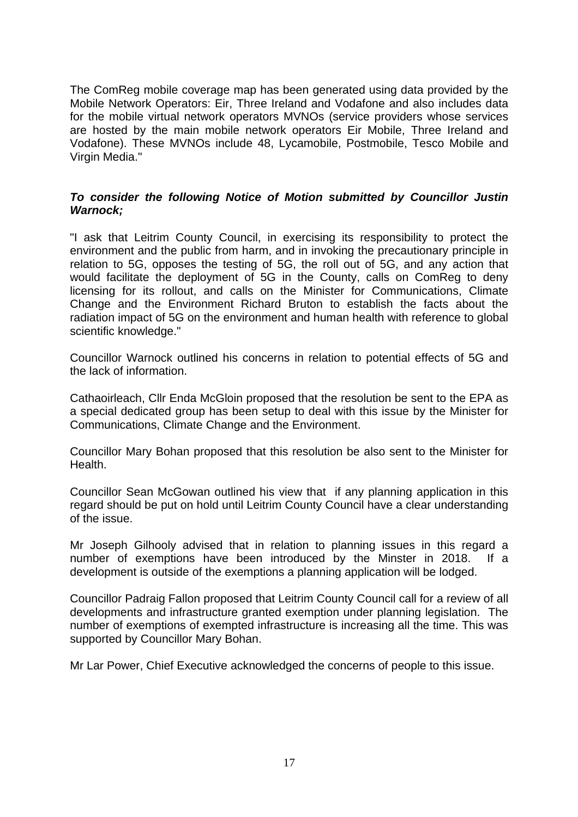The ComReg mobile coverage map has been generated using data provided by the Mobile Network Operators: Eir, Three Ireland and Vodafone and also includes data for the mobile virtual network operators MVNOs (service providers whose services are hosted by the main mobile network operators Eir Mobile, Three Ireland and Vodafone). These MVNOs include 48, Lycamobile, Postmobile, Tesco Mobile and Virgin Media."

#### *To consider the following Notice of Motion submitted by Councillor Justin Warnock;*

"I ask that Leitrim County Council, in exercising its responsibility to protect the environment and the public from harm, and in invoking the precautionary principle in relation to 5G, opposes the testing of 5G, the roll out of 5G, and any action that would facilitate the deployment of 5G in the County, calls on ComReg to deny licensing for its rollout, and calls on the Minister for Communications, Climate Change and the Environment Richard Bruton to establish the facts about the radiation impact of 5G on the environment and human health with reference to global scientific knowledge."

Councillor Warnock outlined his concerns in relation to potential effects of 5G and the lack of information.

Cathaoirleach, Cllr Enda McGloin proposed that the resolution be sent to the EPA as a special dedicated group has been setup to deal with this issue by the Minister for Communications, Climate Change and the Environment.

Councillor Mary Bohan proposed that this resolution be also sent to the Minister for Health.

Councillor Sean McGowan outlined his view that if any planning application in this regard should be put on hold until Leitrim County Council have a clear understanding of the issue.

Mr Joseph Gilhooly advised that in relation to planning issues in this regard a number of exemptions have been introduced by the Minster in 2018. If a development is outside of the exemptions a planning application will be lodged.

Councillor Padraig Fallon proposed that Leitrim County Council call for a review of all developments and infrastructure granted exemption under planning legislation. The number of exemptions of exempted infrastructure is increasing all the time. This was supported by Councillor Mary Bohan.

Mr Lar Power, Chief Executive acknowledged the concerns of people to this issue.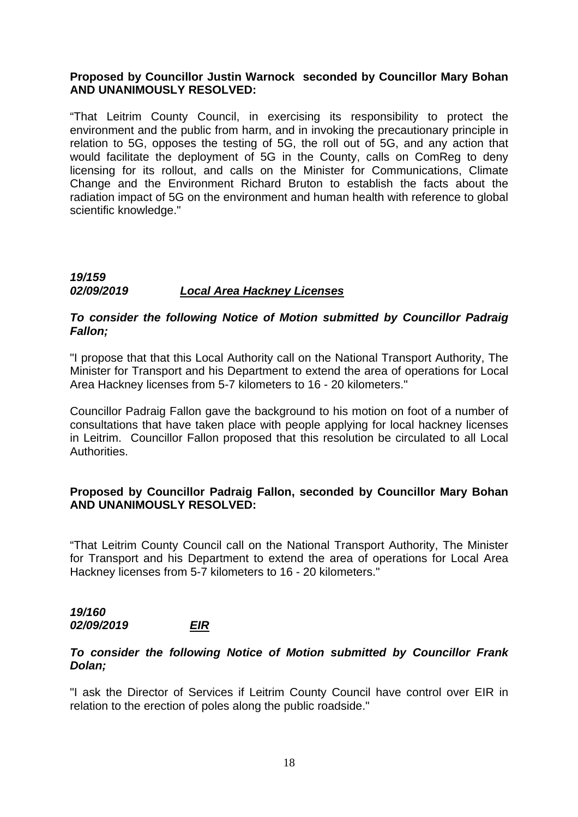#### **Proposed by Councillor Justin Warnock seconded by Councillor Mary Bohan AND UNANIMOUSLY RESOLVED:**

"That Leitrim County Council, in exercising its responsibility to protect the environment and the public from harm, and in invoking the precautionary principle in relation to 5G, opposes the testing of 5G, the roll out of 5G, and any action that would facilitate the deployment of 5G in the County, calls on ComReg to deny licensing for its rollout, and calls on the Minister for Communications, Climate Change and the Environment Richard Bruton to establish the facts about the radiation impact of 5G on the environment and human health with reference to global scientific knowledge."

#### *19/159 02/09/2019 Local Area Hackney Licenses*

#### *To consider the following Notice of Motion submitted by Councillor Padraig Fallon;*

"I propose that that this Local Authority call on the National Transport Authority, The Minister for Transport and his Department to extend the area of operations for Local Area Hackney licenses from 5-7 kilometers to 16 - 20 kilometers."

Councillor Padraig Fallon gave the background to his motion on foot of a number of consultations that have taken place with people applying for local hackney licenses in Leitrim. Councillor Fallon proposed that this resolution be circulated to all Local Authorities.

#### **Proposed by Councillor Padraig Fallon, seconded by Councillor Mary Bohan AND UNANIMOUSLY RESOLVED:**

"That Leitrim County Council call on the National Transport Authority, The Minister for Transport and his Department to extend the area of operations for Local Area Hackney licenses from 5-7 kilometers to 16 - 20 kilometers."

#### *19/160 02/09/2019 EIR*

#### *To consider the following Notice of Motion submitted by Councillor Frank Dolan;*

"I ask the Director of Services if Leitrim County Council have control over EIR in relation to the erection of poles along the public roadside."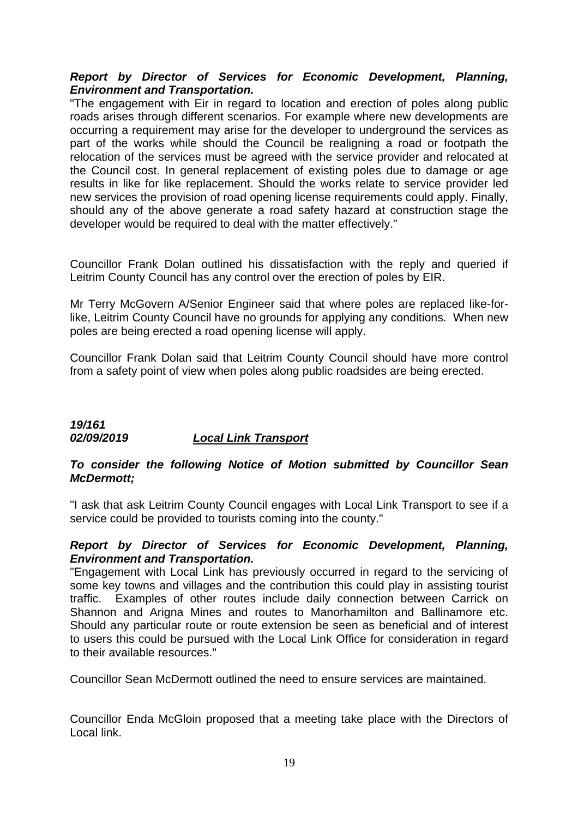## *Report by Director of Services for Economic Development, Planning, Environment and Transportation.*

"The engagement with Eir in regard to location and erection of poles along public roads arises through different scenarios. For example where new developments are occurring a requirement may arise for the developer to underground the services as part of the works while should the Council be realigning a road or footpath the relocation of the services must be agreed with the service provider and relocated at the Council cost. In general replacement of existing poles due to damage or age results in like for like replacement. Should the works relate to service provider led new services the provision of road opening license requirements could apply. Finally, should any of the above generate a road safety hazard at construction stage the developer would be required to deal with the matter effectively."

Councillor Frank Dolan outlined his dissatisfaction with the reply and queried if Leitrim County Council has any control over the erection of poles by EIR.

Mr Terry McGovern A/Senior Engineer said that where poles are replaced like-forlike, Leitrim County Council have no grounds for applying any conditions. When new poles are being erected a road opening license will apply.

Councillor Frank Dolan said that Leitrim County Council should have more control from a safety point of view when poles along public roadsides are being erected.

## *19/161 02/09/2019 Local Link Transport*

#### *To consider the following Notice of Motion submitted by Councillor Sean McDermott;*

"I ask that ask Leitrim County Council engages with Local Link Transport to see if a service could be provided to tourists coming into the county."

#### *Report by Director of Services for Economic Development, Planning, Environment and Transportation.*

"Engagement with Local Link has previously occurred in regard to the servicing of some key towns and villages and the contribution this could play in assisting tourist traffic. Examples of other routes include daily connection between Carrick on Shannon and Arigna Mines and routes to Manorhamilton and Ballinamore etc. Should any particular route or route extension be seen as beneficial and of interest to users this could be pursued with the Local Link Office for consideration in regard to their available resources."

Councillor Sean McDermott outlined the need to ensure services are maintained.

Councillor Enda McGloin proposed that a meeting take place with the Directors of Local link.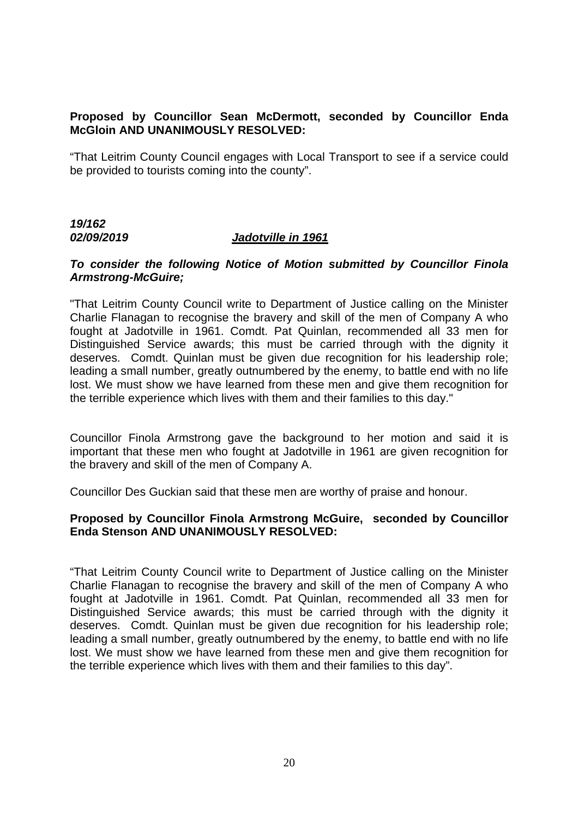# **Proposed by Councillor Sean McDermott, seconded by Councillor Enda McGloin AND UNANIMOUSLY RESOLVED:**

"That Leitrim County Council engages with Local Transport to see if a service could be provided to tourists coming into the county".

# *19/162 02/09/2019 Jadotville in 1961*

#### *To consider the following Notice of Motion submitted by Councillor Finola Armstrong-McGuire;*

"That Leitrim County Council write to Department of Justice calling on the Minister Charlie Flanagan to recognise the bravery and skill of the men of Company A who fought at Jadotville in 1961. Comdt. Pat Quinlan, recommended all 33 men for Distinguished Service awards; this must be carried through with the dignity it deserves. Comdt. Quinlan must be given due recognition for his leadership role; leading a small number, greatly outnumbered by the enemy, to battle end with no life lost. We must show we have learned from these men and give them recognition for the terrible experience which lives with them and their families to this day."

Councillor Finola Armstrong gave the background to her motion and said it is important that these men who fought at Jadotville in 1961 are given recognition for the bravery and skill of the men of Company A.

Councillor Des Guckian said that these men are worthy of praise and honour.

#### **Proposed by Councillor Finola Armstrong McGuire, seconded by Councillor Enda Stenson AND UNANIMOUSLY RESOLVED:**

"That Leitrim County Council write to Department of Justice calling on the Minister Charlie Flanagan to recognise the bravery and skill of the men of Company A who fought at Jadotville in 1961. Comdt. Pat Quinlan, recommended all 33 men for Distinguished Service awards; this must be carried through with the dignity it deserves. Comdt. Quinlan must be given due recognition for his leadership role; leading a small number, greatly outnumbered by the enemy, to battle end with no life lost. We must show we have learned from these men and give them recognition for the terrible experience which lives with them and their families to this day".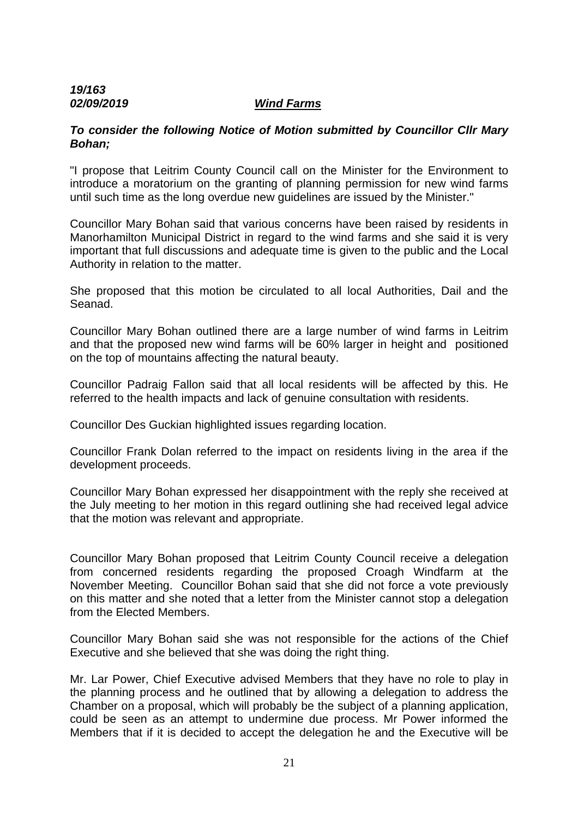#### *19/163 02/09/2019 Wind Farms*

#### *To consider the following Notice of Motion submitted by Councillor Cllr Mary Bohan;*

"I propose that Leitrim County Council call on the Minister for the Environment to introduce a moratorium on the granting of planning permission for new wind farms until such time as the long overdue new guidelines are issued by the Minister."

Councillor Mary Bohan said that various concerns have been raised by residents in Manorhamilton Municipal District in regard to the wind farms and she said it is very important that full discussions and adequate time is given to the public and the Local Authority in relation to the matter.

She proposed that this motion be circulated to all local Authorities, Dail and the Seanad.

Councillor Mary Bohan outlined there are a large number of wind farms in Leitrim and that the proposed new wind farms will be 60% larger in height and positioned on the top of mountains affecting the natural beauty.

Councillor Padraig Fallon said that all local residents will be affected by this. He referred to the health impacts and lack of genuine consultation with residents.

Councillor Des Guckian highlighted issues regarding location.

Councillor Frank Dolan referred to the impact on residents living in the area if the development proceeds.

Councillor Mary Bohan expressed her disappointment with the reply she received at the July meeting to her motion in this regard outlining she had received legal advice that the motion was relevant and appropriate.

Councillor Mary Bohan proposed that Leitrim County Council receive a delegation from concerned residents regarding the proposed Croagh Windfarm at the November Meeting. Councillor Bohan said that she did not force a vote previously on this matter and she noted that a letter from the Minister cannot stop a delegation from the Elected Members.

Councillor Mary Bohan said she was not responsible for the actions of the Chief Executive and she believed that she was doing the right thing.

Mr. Lar Power, Chief Executive advised Members that they have no role to play in the planning process and he outlined that by allowing a delegation to address the Chamber on a proposal, which will probably be the subject of a planning application, could be seen as an attempt to undermine due process. Mr Power informed the Members that if it is decided to accept the delegation he and the Executive will be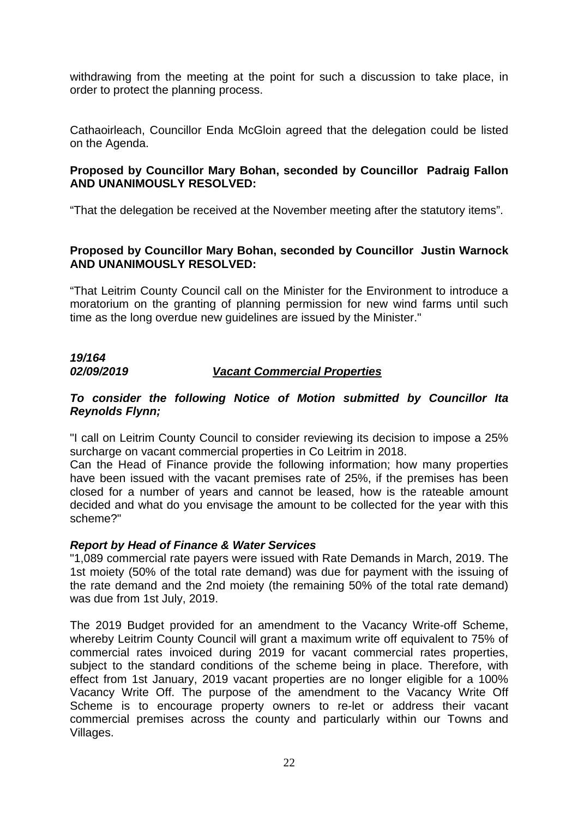withdrawing from the meeting at the point for such a discussion to take place, in order to protect the planning process.

Cathaoirleach, Councillor Enda McGloin agreed that the delegation could be listed on the Agenda.

#### **Proposed by Councillor Mary Bohan, seconded by Councillor Padraig Fallon AND UNANIMOUSLY RESOLVED:**

"That the delegation be received at the November meeting after the statutory items".

#### **Proposed by Councillor Mary Bohan, seconded by Councillor Justin Warnock AND UNANIMOUSLY RESOLVED:**

"That Leitrim County Council call on the Minister for the Environment to introduce a moratorium on the granting of planning permission for new wind farms until such time as the long overdue new guidelines are issued by the Minister."

# *19/164*

## *02/09/2019 Vacant Commercial Properties*

#### *To consider the following Notice of Motion submitted by Councillor Ita Reynolds Flynn;*

"I call on Leitrim County Council to consider reviewing its decision to impose a 25% surcharge on vacant commercial properties in Co Leitrim in 2018.

Can the Head of Finance provide the following information; how many properties have been issued with the vacant premises rate of 25%, if the premises has been closed for a number of years and cannot be leased, how is the rateable amount decided and what do you envisage the amount to be collected for the year with this scheme?"

#### *Report by Head of Finance & Water Services*

"1,089 commercial rate payers were issued with Rate Demands in March, 2019. The 1st moiety (50% of the total rate demand) was due for payment with the issuing of the rate demand and the 2nd moiety (the remaining 50% of the total rate demand) was due from 1st July, 2019.

The 2019 Budget provided for an amendment to the Vacancy Write-off Scheme, whereby Leitrim County Council will grant a maximum write off equivalent to 75% of commercial rates invoiced during 2019 for vacant commercial rates properties, subject to the standard conditions of the scheme being in place. Therefore, with effect from 1st January, 2019 vacant properties are no longer eligible for a 100% Vacancy Write Off. The purpose of the amendment to the Vacancy Write Off Scheme is to encourage property owners to re-let or address their vacant commercial premises across the county and particularly within our Towns and Villages.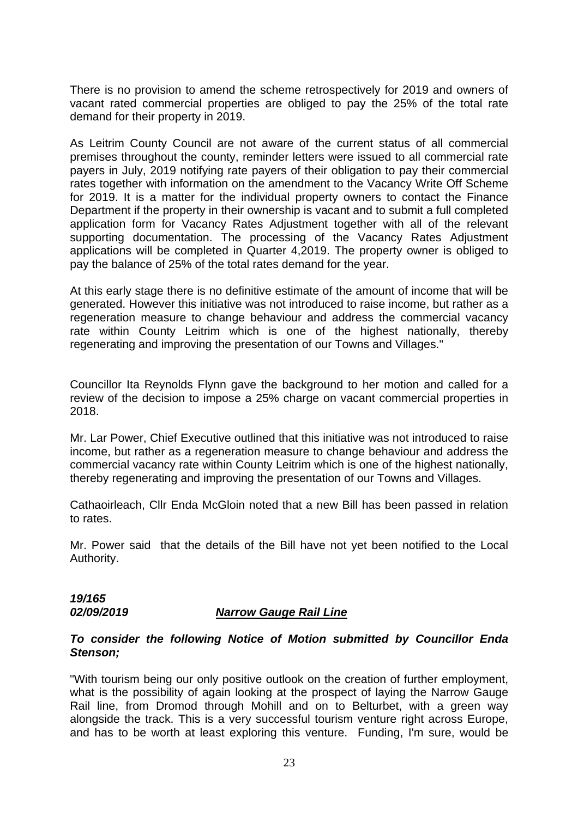There is no provision to amend the scheme retrospectively for 2019 and owners of vacant rated commercial properties are obliged to pay the 25% of the total rate demand for their property in 2019.

As Leitrim County Council are not aware of the current status of all commercial premises throughout the county, reminder letters were issued to all commercial rate payers in July, 2019 notifying rate payers of their obligation to pay their commercial rates together with information on the amendment to the Vacancy Write Off Scheme for 2019. It is a matter for the individual property owners to contact the Finance Department if the property in their ownership is vacant and to submit a full completed application form for Vacancy Rates Adjustment together with all of the relevant supporting documentation. The processing of the Vacancy Rates Adjustment applications will be completed in Quarter 4,2019. The property owner is obliged to pay the balance of 25% of the total rates demand for the year.

At this early stage there is no definitive estimate of the amount of income that will be generated. However this initiative was not introduced to raise income, but rather as a regeneration measure to change behaviour and address the commercial vacancy rate within County Leitrim which is one of the highest nationally, thereby regenerating and improving the presentation of our Towns and Villages."

Councillor Ita Reynolds Flynn gave the background to her motion and called for a review of the decision to impose a 25% charge on vacant commercial properties in 2018.

Mr. Lar Power, Chief Executive outlined that this initiative was not introduced to raise income, but rather as a regeneration measure to change behaviour and address the commercial vacancy rate within County Leitrim which is one of the highest nationally, thereby regenerating and improving the presentation of our Towns and Villages.

Cathaoirleach, Cllr Enda McGloin noted that a new Bill has been passed in relation to rates.

Mr. Power said that the details of the Bill have not yet been notified to the Local Authority.

*19/165* 

#### *02/09/2019 Narrow Gauge Rail Line*

#### *To consider the following Notice of Motion submitted by Councillor Enda Stenson;*

"With tourism being our only positive outlook on the creation of further employment, what is the possibility of again looking at the prospect of laying the Narrow Gauge Rail line, from Dromod through Mohill and on to Belturbet, with a green way alongside the track. This is a very successful tourism venture right across Europe, and has to be worth at least exploring this venture. Funding, I'm sure, would be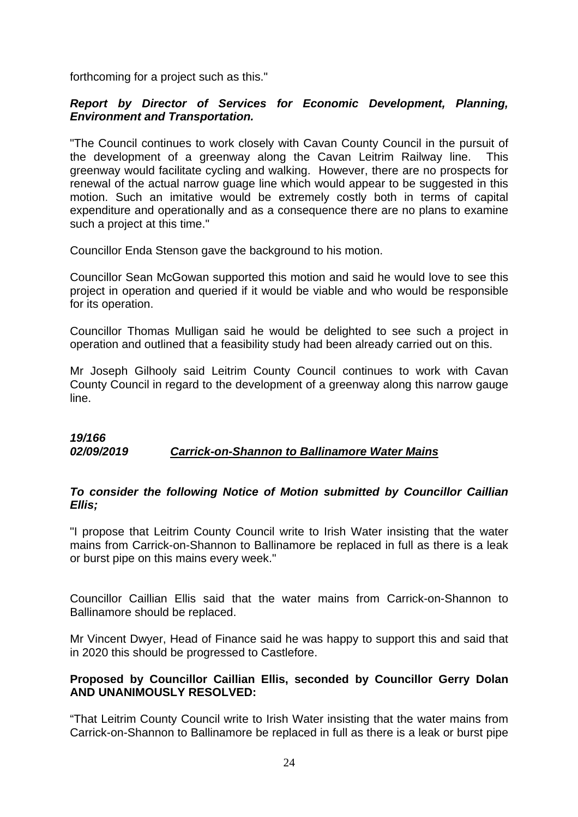forthcoming for a project such as this."

## *Report by Director of Services for Economic Development, Planning, Environment and Transportation.*

"The Council continues to work closely with Cavan County Council in the pursuit of the development of a greenway along the Cavan Leitrim Railway line. This greenway would facilitate cycling and walking. However, there are no prospects for renewal of the actual narrow guage line which would appear to be suggested in this motion. Such an imitative would be extremely costly both in terms of capital expenditure and operationally and as a consequence there are no plans to examine such a project at this time."

Councillor Enda Stenson gave the background to his motion.

Councillor Sean McGowan supported this motion and said he would love to see this project in operation and queried if it would be viable and who would be responsible for its operation.

Councillor Thomas Mulligan said he would be delighted to see such a project in operation and outlined that a feasibility study had been already carried out on this.

Mr Joseph Gilhooly said Leitrim County Council continues to work with Cavan County Council in regard to the development of a greenway along this narrow gauge line.

#### *19/166 02/09/2019 Carrick-on-Shannon to Ballinamore Water Mains*

#### *To consider the following Notice of Motion submitted by Councillor Caillian Ellis;*

"I propose that Leitrim County Council write to Irish Water insisting that the water mains from Carrick-on-Shannon to Ballinamore be replaced in full as there is a leak or burst pipe on this mains every week."

Councillor Caillian Ellis said that the water mains from Carrick-on-Shannon to Ballinamore should be replaced.

Mr Vincent Dwyer, Head of Finance said he was happy to support this and said that in 2020 this should be progressed to Castlefore.

#### **Proposed by Councillor Caillian Ellis, seconded by Councillor Gerry Dolan AND UNANIMOUSLY RESOLVED:**

"That Leitrim County Council write to Irish Water insisting that the water mains from Carrick-on-Shannon to Ballinamore be replaced in full as there is a leak or burst pipe